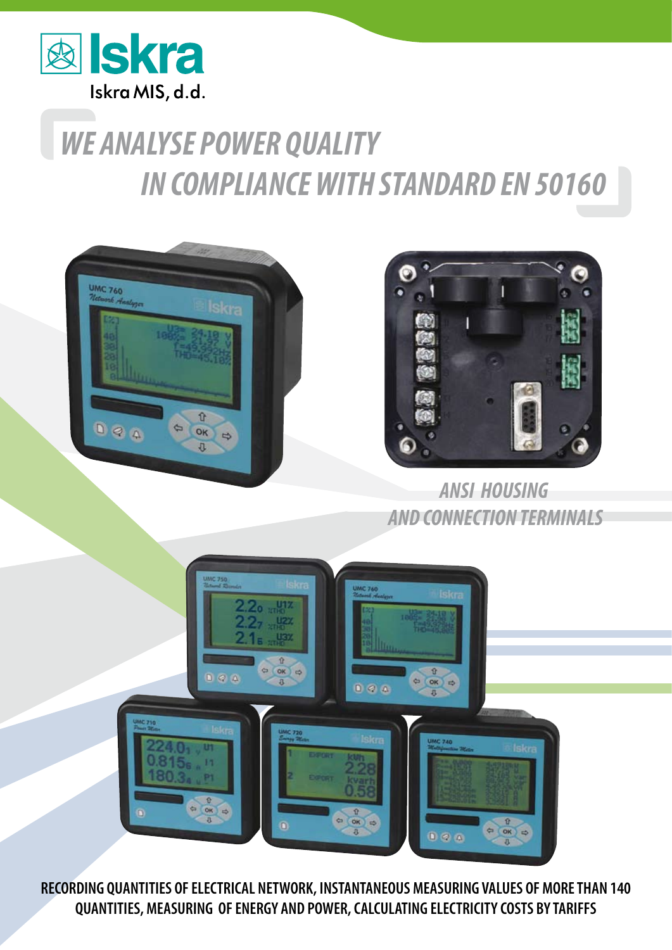

## *WE ANALYSE POWER QUALITY IN COMPLIANCE WITH STANDARD EN 50160*





*ANSI HOUSING AND CONNECTION TERMINALS*



**RECORDING QUANTITIES OF ELECTRICAL NETWORK, INSTANTANEOUS MEASURING VALUES OF MORE THAN 140 QUANTITIES, MEASURING OF ENERGY AND POWER, CALCULATING ELECTRICITY COSTS BY TARIFFS**